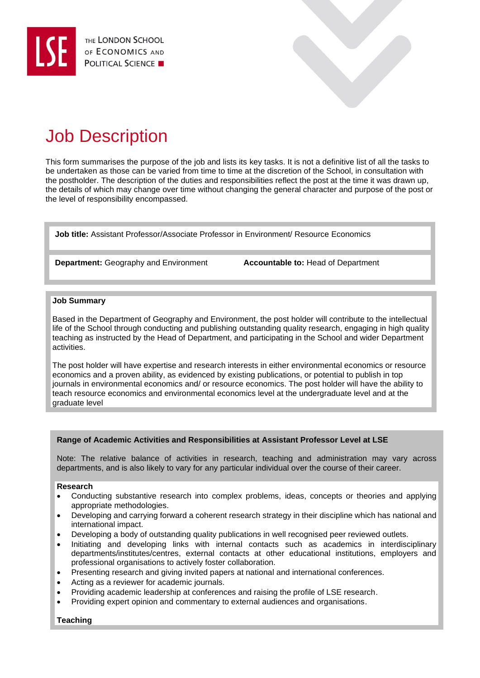

# Job Description

This form summarises the purpose of the job and lists its key tasks. It is not a definitive list of all the tasks to be undertaken as those can be varied from time to time at the discretion of the School, in consultation with the postholder. The description of the duties and responsibilities reflect the post at the time it was drawn up, the details of which may change over time without changing the general character and purpose of the post or the level of responsibility encompassed.

**Job title:** Assistant Professor/Associate Professor in Environment/ Resource Economics

**Department:** Geography and Environment **Accountable to:** Head of Department

## **Job Summary**

Based in the Department of Geography and Environment, the post holder will contribute to the intellectual life of the School through conducting and publishing outstanding quality research, engaging in high quality teaching as instructed by the Head of Department, and participating in the School and wider Department activities.

The post holder will have expertise and research interests in either environmental economics or resource economics and a proven ability, as evidenced by existing publications, or potential to publish in top journals in environmental economics and/ or resource economics. The post holder will have the ability to teach resource economics and environmental economics level at the undergraduate level and at the graduate level

# **Range of Academic Activities and Responsibilities at Assistant Professor Level at LSE**

Note: The relative balance of activities in research, teaching and administration may vary across departments, and is also likely to vary for any particular individual over the course of their career.

#### **Research**

- Conducting substantive research into complex problems, ideas, concepts or theories and applying appropriate methodologies.
- Developing and carrying forward a coherent research strategy in their discipline which has national and international impact.
- Developing a body of outstanding quality publications in well recognised peer reviewed outlets.
- Initiating and developing links with internal contacts such as academics in interdisciplinary departments/institutes/centres, external contacts at other educational institutions, employers and professional organisations to actively foster collaboration.
- Presenting research and giving invited papers at national and international conferences.
- Acting as a reviewer for academic journals.
- Providing academic leadership at conferences and raising the profile of LSE research.
- Providing expert opinion and commentary to external audiences and organisations.

# **Teaching**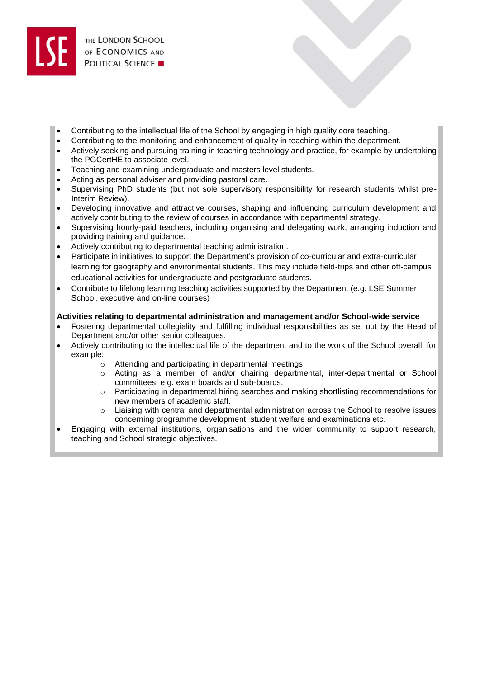- Contributing to the intellectual life of the School by engaging in high quality core teaching.
- Contributing to the monitoring and enhancement of quality in teaching within the department.
- Actively seeking and pursuing training in teaching technology and practice, for example by undertaking the PGCertHE to associate level.
- Teaching and examining undergraduate and masters level students.
- Acting as personal adviser and providing pastoral care.
- Supervising PhD students (but not sole supervisory responsibility for research students whilst pre-Interim Review).
- Developing innovative and attractive courses, shaping and influencing curriculum development and actively contributing to the review of courses in accordance with departmental strategy.
- Supervising hourly-paid teachers, including organising and delegating work, arranging induction and providing training and guidance.
- Actively contributing to departmental teaching administration.
- Participate in initiatives to support the Department's provision of co-curricular and extra-curricular learning for geography and environmental students. This may include field-trips and other off-campus educational activities for undergraduate and postgraduate students.
- Contribute to lifelong learning teaching activities supported by the Department (e.g. LSE Summer School, executive and on-line courses)

# **Activities relating to departmental administration and management and/or School-wide service**

- Fostering departmental collegiality and fulfilling individual responsibilities as set out by the Head of Department and/or other senior colleagues.
- Actively contributing to the intellectual life of the department and to the work of the School overall, for example:
	- o Attending and participating in departmental meetings.
	- o Acting as a member of and/or chairing departmental, inter-departmental or School committees, e.g. exam boards and sub-boards.
	- o Participating in departmental hiring searches and making shortlisting recommendations for new members of academic staff.
	- $\circ$  Liaising with central and departmental administration across the School to resolve issues concerning programme development, student welfare and examinations etc.
- Engaging with external institutions, organisations and the wider community to support research, teaching and School strategic objectives.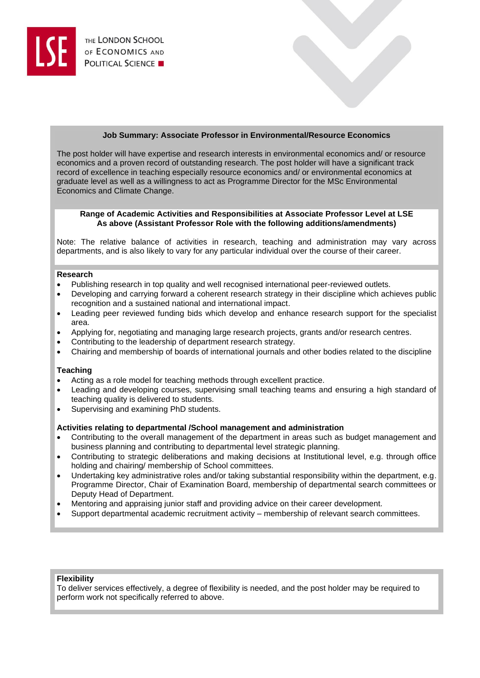# **Job Summary: Associate Professor in Environmental/Resource Economics**

The post holder will have expertise and research interests in environmental economics and/ or resource economics and a proven record of outstanding research. The post holder will have a significant track record of excellence in teaching especially resource economics and/ or environmental economics at graduate level as well as a willingness to act as Programme Director for the MSc Environmental Economics and Climate Change.

## **Range of Academic Activities and Responsibilities at Associate Professor Level at LSE As above (Assistant Professor Role with the following additions/amendments)**

Note: The relative balance of activities in research, teaching and administration may vary across departments, and is also likely to vary for any particular individual over the course of their career.

#### **Research**

- Publishing research in top quality and well recognised international peer-reviewed outlets.
- Developing and carrying forward a coherent research strategy in their discipline which achieves public recognition and a sustained national and international impact.
- Leading peer reviewed funding bids which develop and enhance research support for the specialist area.
- Applying for, negotiating and managing large research projects, grants and/or research centres.
- Contributing to the leadership of department research strategy.
- Chairing and membership of boards of international journals and other bodies related to the discipline

#### **Teaching**

- Acting as a role model for teaching methods through excellent practice.
- Leading and developing courses, supervising small teaching teams and ensuring a high standard of teaching quality is delivered to students.
- Supervising and examining PhD students.

#### **Activities relating to departmental /School management and administration**

- Contributing to the overall management of the department in areas such as budget management and business planning and contributing to departmental level strategic planning.
- Contributing to strategic deliberations and making decisions at Institutional level, e.g. through office holding and chairing/ membership of School committees.
- Undertaking key administrative roles and/or taking substantial responsibility within the department, e.g. Programme Director, Chair of Examination Board, membership of departmental search committees or Deputy Head of Department.
- Mentoring and appraising junior staff and providing advice on their career development.
- Support departmental academic recruitment activity membership of relevant search committees.

### **Flexibility**

To deliver services effectively, a degree of flexibility is needed, and the post holder may be required to perform work not specifically referred to above.